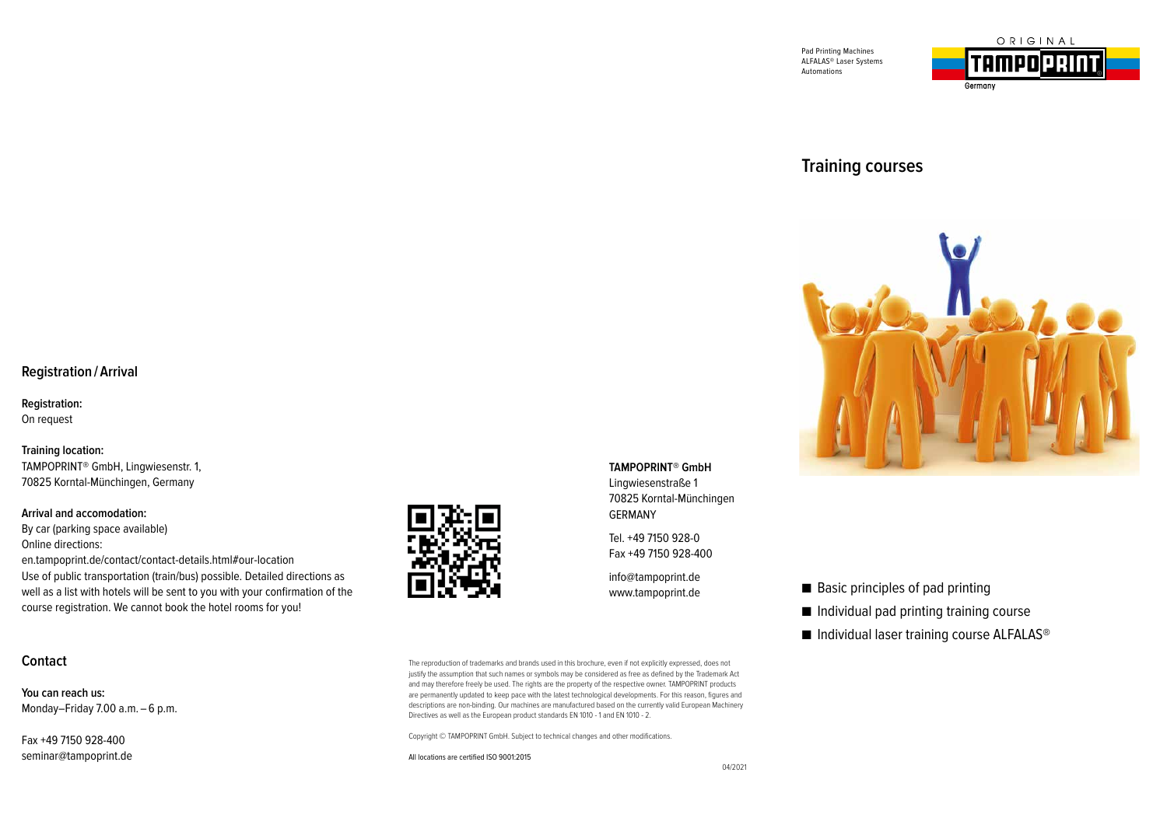



# **Training courses**



### **Registration / Arrival**

**Registration:** 

On request

**Training location:**  TAMPOPRINT® GmbH, Lingwiesenstr. 1, 70825 Korntal-Münchingen, Germany

### **Arrival and accomodation:**

By car (parking space available) Online directions: en.tampoprint.de/contact/contact-details.html#our-location Use of public transportation (train/bus) possible. Detailed directions as well as a list with hotels will be sent to you with your confirmation of the course registration. We cannot book the hotel rooms for you!

## **Contact**

**You can reach us:** Monday–Friday 7.00 a.m. - 6 p.m.

Fax +49 7150 928-400 seminar@tampoprint.de



**TAMPOPRINT® GmbH**  Lingwiesenstraße 1 70825 Korntal-Münchingen GERMANY

Tel. +49 7150 928-0 Fax +49 7150 928-400

info@tampoprint.de www.tampoprint.de

The reproduction of trademarks and brands used in this brochure, even if not explicitly expressed, does not justify the assumption that such names or symbols may be considered as free as defined by the Trademark Act and may therefore freely be used. The rights are the property of the respective owner. TAMPOPRINT products are permanently updated to keep pace with the latest technological developments. For this reason, figures and descriptions are non-binding. Our machines are manufactured based on the currently valid European Machinery Directives as well as the European product standards EN 1010 - 1 and EN 1010 - 2.

Copyright © TAMPOPRINT GmbH. Subject to technical changes and other modifications.

All locations are certified ISO 9001:2015

■ Basic principles of pad printing

■ Individual pad printing training course

■ Individual laser training course ALFALAS<sup>®</sup>